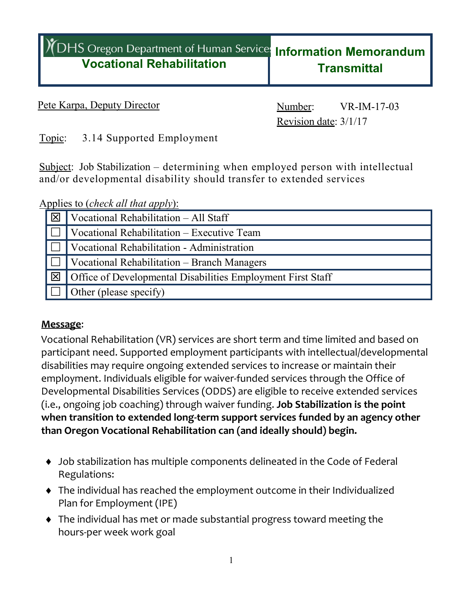## **Vocational Rehabilitation If** DHS Oregon Department of Human Services Information Memorandum **Transmittal**

Pete Karpa, Deputy Director Number: VR-IM-17-03

Revision date: 3/1/17

Topic: 3.14 Supported Employment

Subject: Job Stabilization – determining when employed person with intellectual and/or developmental disability should transfer to extended services

### Applies to (*check all that apply*):

| $\overline{\mathbf{X}}$ | Vocational Rehabilitation - All Staff                       |
|-------------------------|-------------------------------------------------------------|
|                         | Vocational Rehabilitation - Executive Team                  |
|                         | Vocational Rehabilitation - Administration                  |
|                         | Vocational Rehabilitation – Branch Managers                 |
| 冈                       | Office of Developmental Disabilities Employment First Staff |
|                         | Other (please specify)                                      |

#### **Message**:

Vocational Rehabilitation (VR) services are short term and time limited and based on participant need. Supported employment participants with intellectual/developmental disabilities may require ongoing extended services to increase or maintain their employment. Individuals eligible for waiver-funded services through the Office of Developmental Disabilities Services (ODDS) are eligible to receive extended services (i.e., ongoing job coaching) through waiver funding. **Job Stabilization is the point when transition to extended long-term support services funded by an agency other than Oregon Vocational Rehabilitation can (and ideally should) begin.** 

- Job stabilization has multiple components delineated in the Code of Federal Regulations:
- The individual has reached the employment outcome in their Individualized Plan for Employment (IPE)
- The individual has met or made substantial progress toward meeting the hours-per week work goal